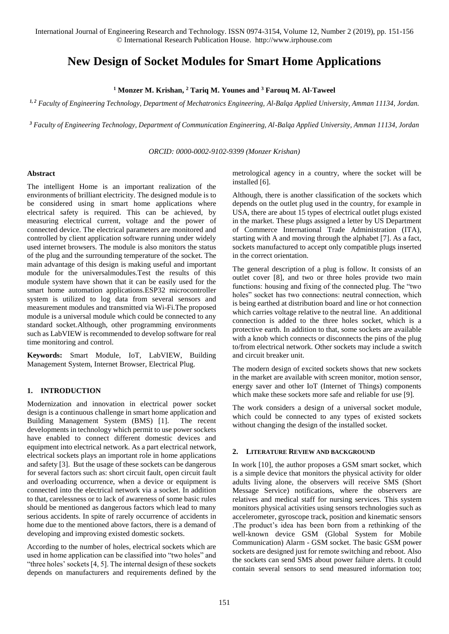# **New Design of Socket Modules for Smart Home Applications**

**<sup>1</sup> Monzer M. Krishan, <sup>2</sup> Tariq M. Younes and <sup>3</sup> Farouq M. Al-Taweel**

*1, 2 Faculty of Engineering Technology, Department of Mechatronics Engineering, Al-Balqa Applied University, Amman 11134, Jordan.*

*<sup>3</sup> Faculty of Engineering Technology, Department of Communication Engineering, Al-Balqa Applied University, Amman 11134, Jordan*

*ORCID: 0000-0002-9102-9399 (Monzer Krishan)*

#### **Abstract**

The intelligent Home is an important realization of the environments of brilliant electricity. The designed module is to be considered using in smart home applications where electrical safety is required. This can be achieved, by measuring electrical current, voltage and the power of connected device. The electrical parameters are monitored and controlled by client application software running under widely used internet browsers. The module is also monitors the status of the plug and the surrounding temperature of the socket. The main advantage of this design is making useful and important module for the universalmodules.Test the results of this module system have shown that it can be easily used for the smart home automation applications.ESP32 microcontroller system is utilized to log data from several sensors and measurement modules and transmitted via Wi-Fi.The proposed module is a universal module which could be connected to any standard socket.Although, other programming environments such as LabVIEW is recommended to develop software for real time monitoring and control.

**Keywords:** Smart Module, IoT, LabVIEW, Building Management System, Internet Browser, Electrical Plug.

# **1. INTRODUCTION**

Modernization and innovation in electrical power socket design is a continuous challenge in smart home application and Building Management System (BMS) [1]. The recent developments in technology which permit to use power sockets have enabled to connect different domestic devices and equipment into electrical network. As a part electrical network, electrical sockets plays an important role in home applications and safety [3]. But the usage of these sockets can be dangerous for several factors such as: short circuit fault, open circuit fault and overloading occurrence, when a device or equipment is connected into the electrical network via a socket. In addition to that, carelessness or to lack of awareness of some basic rules should be mentioned as dangerous factors which lead to many serious accidents. In spite of rarely occurrence of accidents in home due to the mentioned above factors, there is a demand of developing and improving existed domestic sockets.

According to the number of holes, electrical sockets which are used in home application can be classified into "two holes" and "three holes' sockets [4, 5]. The internal design of these sockets depends on manufacturers and requirements defined by the

metrological agency in a country, where the socket will be installed [6].

Although, there is another classification of the sockets which depends on the outlet plug used in the country, for example in USA, there are about 15 types of electrical outlet plugs existed in the market. These plugs assigned a letter by US Department of Commerce International Trade Administration (ITA), starting with A and moving through the alphabet [7]. As a fact, sockets manufactured to accept only compatible plugs inserted in the correct orientation.

The general description of a plug is follow. It consists of an outlet cover [8], and two or three holes provide two main functions: housing and fixing of the connected plug. The "two holes" socket has two connections: neutral connection, which is being earthed at distribution board and line or hot connection which carries voltage relative to the neutral line. An additional connection is added to the three holes socket, which is a protective earth. In addition to that, some sockets are available with a knob which connects or disconnects the pins of the plug to/from electrical network. Other sockets may include a switch and circuit breaker unit.

The modern design of excited sockets shows that new sockets in the market are available with screen monitor, motion sensor, energy saver and other IoT (Internet of Things) components which make these sockets more safe and reliable for use [9].

The work considers a design of a universal socket module, which could be connected to any types of existed sockets without changing the design of the installed socket.

## **2. LITERATURE REVIEW AND BACKGROUND**

In work [10], the author proposes a GSM smart socket, which is a simple device that monitors the physical activity for older adults living alone, the observers will receive SMS (Short Message Service) notifications, where the observers are relatives and medical staff for nursing services. This system monitors physical activities using sensors technologies such as accelerometer, gyroscope track, position and kinematic sensors .The product's idea has been born from a rethinking of the well-known device GSM (Global System for Mobile Communication) Alarm - GSM socket. The basic GSM power sockets are designed just for remote switching and reboot. Also the sockets can send SMS about power failure alerts. It could contain several sensors to send measured information too;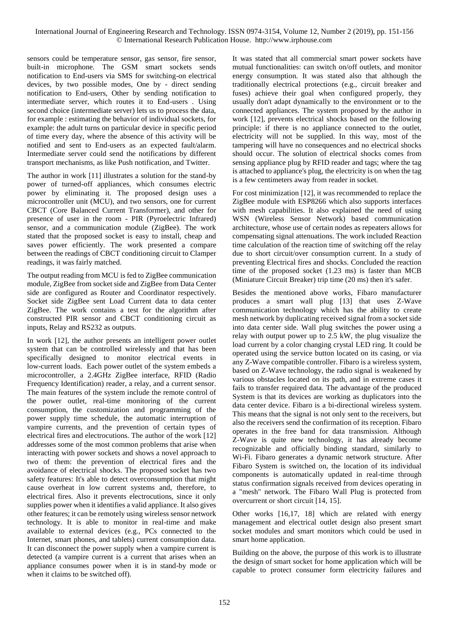sensors could be temperature sensor, gas sensor, fire sensor, built-in microphone. The GSM smart sockets sends notification to End-users via SMS for switching-on electrical devices, by two possible modes, One by - direct sending notification to End-users, Other by sending notification to intermediate server, which routes it to End-users . Using second choice (intermediate server) lets us to process the data, for example : estimating the behavior of individual sockets, for example: the adult turns on particular device in specific period of time every day, where the absence of this activity will be notified and sent to End-users as an expected fault/alarm. Intermediate server could send the notifications by different transport mechanisms, as like Push notification, and Twitter.

The author in work [11] illustrates a solution for the stand-by power of turned-off appliances, which consumes electric power by eliminating it. The proposed design uses a microcontroller unit (MCU), and two sensors, one for current CBCT (Core Balanced Current Transformer), and other for presence of user in the room - PIR (Pyroelectric Infrared) sensor, and a communication module (ZigBee). The work stated that the proposed socket is easy to install, cheap and saves power efficiently. The work presented a compare between the readings of CBCT conditioning circuit to Clamper readings, it was fairly matched.

The output reading from MCU is fed to ZigBee communication module, ZigBee from socket side and ZigBee from Data Center side are configured as Router and Coordinator respectively. Socket side ZigBee sent Load Current data to data center ZigBee. The work contains a test for the algorithm after constructed PIR sensor and CBCT conditioning circuit as inputs, Relay and RS232 as outputs.

In work [12], the author presents an intelligent power outlet system that can be controlled wirelessly and that has been specifically designed to monitor electrical events in low-current loads. Each power outlet of the system embeds a microcontroller, a 2.4GHz ZigBee interface, RFID (Radio Frequency Identification) reader, a relay, and a current sensor. The main features of the system include the remote control of the power outlet, real-time monitoring of the current consumption, the customization and programming of the power supply time schedule, the automatic interruption of vampire currents, and the prevention of certain types of electrical fires and electrocutions. The author of the work [12] addresses some of the most common problems that arise when interacting with power sockets and shows a novel approach to two of them: the prevention of electrical fires and the avoidance of electrical shocks. The proposed socket has two safety features: It's able to detect overconsumption that might cause overheat in low current systems and, therefore, to electrical fires. Also it prevents electrocutions, since it only supplies power when it identifies a valid appliance. It also gives other features; it can be remotely using wireless sensor network technology. It is able to monitor in real-time and make available to external devices (e.g., PCs connected to the Internet, smart phones, and tablets) current consumption data. It can disconnect the power supply when a vampire current is detected (a vampire current is a current that arises when an appliance consumes power when it is in stand-by mode or when it claims to be switched off).

It was stated that all commercial smart power sockets have mutual functionalities: can switch on/off outlets, and monitor energy consumption. It was stated also that although the traditionally electrical protections (e.g., circuit breaker and fuses) achieve their goal when configured properly, they usually don't adapt dynamically to the environment or to the connected appliances. The system proposed by the author in work [12], prevents electrical shocks based on the following principle: if there is no appliance connected to the outlet, electricity will not be supplied. In this way, most of the tampering will have no consequences and no electrical shocks should occur. The solution of electrical shocks comes from sensing appliance plug by RFID reader and tags; where the tag is attached to appliance's plug, the electricity is on when the tag is a few centimeters away from reader in socket.

For cost minimization [12], it was recommended to replace the ZigBee module with ESP8266 which also supports interfaces with mesh capabilities. It also explained the need of using WSN (Wireless Sensor Network) based communication architecture, whose use of certain nodes as repeaters allows for compensating signal attenuations. The work included Reaction time calculation of the reaction time of switching off the relay due to short circuit/over consumption current. In a study of preventing Electrical fires and shocks. Concluded the reaction time of the proposed socket (1.23 ms) is faster than MCB (Miniature Circuit Breaker) trip time (20 ms) then it's safer.

Besides the mentioned above works, Fibaro manufacturer produces a smart wall plug [13] that uses Z-Wave communication technology which has the ability to create mesh network by duplicating received signal from a socket side into data center side. Wall plug switches the power using a relay with output power up to 2.5 kW, the plug visualize the load current by a color changing crystal LED ring. It could be operated using the service button located on its casing, or via any Z-Wave compatible controller. Fibaro is a wireless system, based on Z-Wave technology, the radio signal is weakened by various obstacles located on its path, and in extreme cases it fails to transfer required data. The advantage of the produced System is that its devices are working as duplicators into the data center device. Fibaro is a bi-directional wireless system. This means that the signal is not only sent to the receivers, but also the receivers send the confirmation of its reception. Fibaro operates in the free band for data transmission. Although Z-Wave is quite new technology, it has already become recognizable and officially binding standard, similarly to Wi-Fi. Fibaro generates a dynamic network structure. After Fibaro System is switched on, the location of its individual components is automatically updated in real-time through status confirmation signals received from devices operating in a "mesh" network. The Fibaro Wall Plug is protected from overcurrent or short circuit [14, 15].

Other works [16,17, 18] which are related with energy management and electrical outlet design also present smart socket modules and smart monitors which could be used in smart home application.

Building on the above, the purpose of this work is to illustrate the design of smart socket for home application which will be capable to protect consumer form electricity failures and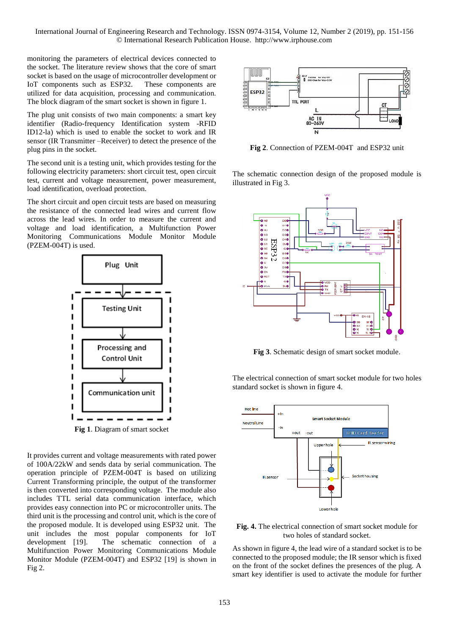monitoring the parameters of electrical devices connected to the socket. The literature review shows that the core of smart socket is based on the usage of microcontroller development or IoT components such as ESP32. These components are utilized for data acquisition, processing and communication. The block diagram of the smart socket is shown in figure 1.

The plug unit consists of two main components: a smart key identifier (Radio-frequency Identification system -RFID ID12-la) which is used to enable the socket to work and IR sensor (IR Transmitter –Receiver) to detect the presence of the plug pins in the socket.

The second unit is a testing unit, which provides testing for the following electricity parameters: short circuit test, open circuit test, current and voltage measurement, power measurement, load identification, overload protection.

The short circuit and open circuit tests are based on measuring the resistance of the connected lead wires and current flow across the lead wires. In order to measure the current and voltage and load identification, a Multifunction Power Monitoring Communications Module Monitor Module (PZEM-004T) is used.



It provides current and voltage measurements with rated power of 100A/22kW and sends data by serial communication. The

operation principle of PZEM-004T is based on utilizing Current Transforming principle, the output of the transformer is then converted into corresponding voltage. The module also includes TTL serial data communication interface, which provides easy connection into PC or microcontroller units. The third unit is the processing and control unit, which is the core of the proposed module. It is developed using ESP32 unit. The unit includes the most popular components for IoT development [19]. The schematic connection of a Multifunction Power Monitoring Communications Module Monitor Module (PZEM-004T) and ESP32 [19] is shown in Fig 2.



**Fig 2**. Connection of PZEM-004T and ESP32 unit

The schematic connection design of the proposed module is illustrated in Fig 3.



**Fig 3**. Schematic design of smart socket module.

The electrical connection of smart socket module for two holes standard socket is shown in figure 4.



**Fig. 4.** The electrical connection of smart socket module for two holes of standard socket.

As shown in figure 4, the lead wire of a standard socket is to be connected to the proposed module; the IR sensor which is fixed on the front of the socket defines the presences of the plug. A smart key identifier is used to activate the module for further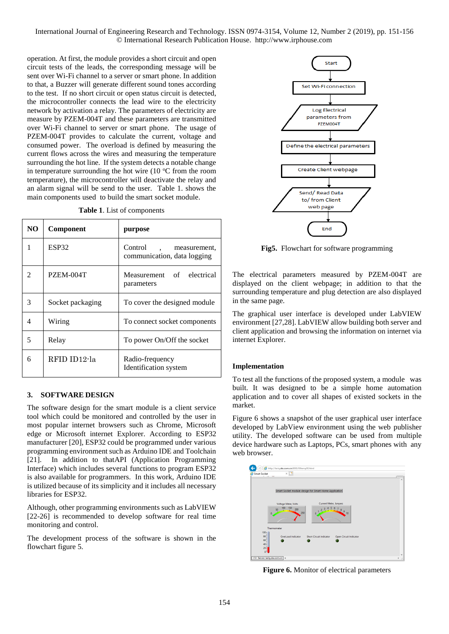operation. At first, the module provides a short circuit and open circuit tests of the leads, the corresponding message will be sent over Wi-Fi channel to a server or smart phone. In addition to that, a Buzzer will generate different sound tones according to the test. If no short circuit or open status circuit is detected, the microcontroller connects the lead wire to the electricity network by activation a relay. The parameters of electricity are measure by PZEM-004T and these parameters are transmitted over Wi-Fi channel to server or smart phone. The usage of PZEM-004T provides to calculate the current, voltage and consumed power. The overload is defined by measuring the current flows across the wires and measuring the temperature surrounding the hot line. If the system detects a notable change in temperature surrounding the hot wire  $(10 \degree C$  from the room temperature), the microcontroller will deactivate the relay and an alarm signal will be send to the user. Table 1. shows the main components used to build the smart socket module.

| NO.                         | <b>Component</b> | purpose                                                |
|-----------------------------|------------------|--------------------------------------------------------|
| 1                           | ESP32            | Control<br>measurement,<br>communication, data logging |
| $\mathcal{D}_{\mathcal{L}}$ | PZEM-004T        | Measurement of electrical<br>parameters                |
| 3                           | Socket packaging | To cover the designed module                           |
| 4                           | Wiring           | To connect socket components                           |
| 5                           | Relay            | To power On/Off the socket                             |
| 6                           | RFID ID12-la     | Radio-frequency<br>Identification system               |

**Table 1**. List of components

### **3. SOFTWARE DESIGN**

The software design for the smart module is a client service tool which could be monitored and controlled by the user in most popular internet browsers such as Chrome, Microsoft edge or Microsoft internet Explorer. According to ESP32 manufacturer [20], ESP32 could be programmed under various programming environment such as Arduino IDE and Toolchain [21]. In addition to thatAPI (Application Programming Interface) which includes several functions to program ESP32 is also available for programmers. In this work, Arduino IDE is utilized because of its simplicity and it includes all necessary libraries for ESP32.

Although, other programming environments such as LabVIEW [22-26] is recommended to develop software for real time monitoring and control.

The development process of the software is shown in the flowchart figure 5.



**Fig5.** Flowchart for software programming

The electrical parameters measured by PZEM-004T are displayed on the client webpage; in addition to that the surrounding temperature and plug detection are also displayed in the same page.

The graphical user interface is developed under LabVIEW environment [27,28]. LabVIEW allow building both server and client application and browsing the information on internet via internet Explorer.

### **Implementation**

To test all the functions of the proposed system, a module was built. It was designed to be a simple home automation application and to cover all shapes of existed sockets in the market.

Figure 6 shows a snapshot of the user graphical user interface developed by LabView environment using the web publisher utility. The developed software can be used from multiple device hardware such as Laptops, PCs, smart phones with any web browser.



**Figure 6.** Monitor of electrical parameters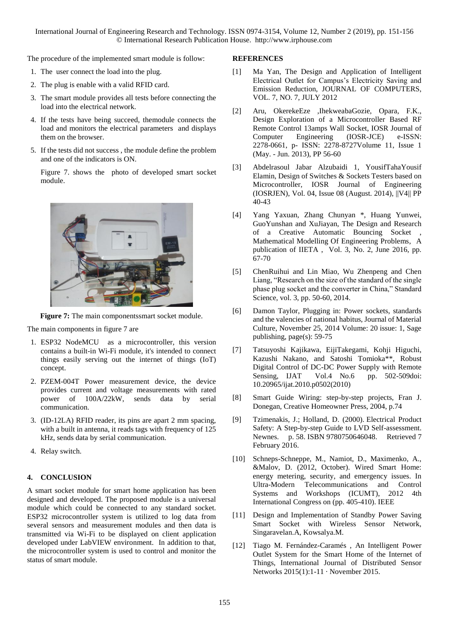The procedure of the implemented smart module is follow:

- 1. The user connect the load into the plug.
- 2. The plug is enable with a valid RFID card.
- 3. The smart module provides all tests before connecting the load into the electrical network.
- 4. If the tests have being succeed, themodule connects the load and monitors the electrical parameters and displays them on the browser.
- 5. If the tests did not success , the module define the problem and one of the indicators is ON.

Figure 7. shows the photo of developed smart socket module.



**Figure 7:** The main componentssmart socket module.

The main components in figure 7 are

- 1. ESP32 NodeMCU as a microcontroller, this version contains a built-in Wi-Fi module, it's intended to connect things easily serving out the internet of things (IoT) concept.
- 2. PZEM-004T Power measurement device, the device provides current and voltage measurements with rated power of 100A/22kW, sends data by serial communication.
- 3. (ID-12LA) RFID reader, its pins are apart 2 mm spacing, with a built in antenna, it reads tags with frequency of 125 kHz, sends data by serial communication.
- 4. Relay switch.

### **4. CONCLUSION**

A smart socket module for smart home application has been designed and developed. The proposed module is a universal module which could be connected to any standard socket. ESP32 microcontroller system is utilized to log data from several sensors and measurement modules and then data is transmitted via Wi-Fi to be displayed on client application developed under LabVIEW environment. In addition to that, the microcontroller system is used to control and monitor the status of smart module.

#### **REFERENCES**

- [1] Ma Yan, The Design and Application of Intelligent Electrical Outlet for Campus's Electricity Saving and Emission Reduction, JOURNAL OF COMPUTERS, VOL. 7, NO. 7, JULY 2012
- [2] Aru, OkerekeEze ,IhekweabaGozie, Opara, F.K., Design Exploration of a Microcontroller Based RF Remote Control 13amps Wall Socket, IOSR Journal of Computer Engineering (IOSR-JCE) e-ISSN: 2278-0661, p- ISSN: 2278-8727Volume 11, Issue 1 (May. - Jun. 2013), PP 56-60
- [3] Abdelrasoul Jabar Alzubaidi 1, YousifTahaYousif Elamin, Design of Switches & Sockets Testers based on Microcontroller, IOSR Journal of Engineering (IOSRJEN), Vol. 04, Issue 08 (August. 2014), ||V4|| PP 40-43
- [4] Yang Yaxuan, Zhang Chunyan \*, Huang Yunwei, GuoYunshan and XuJiayan, The Design and Research of a Creative Automatic Bouncing Socket Mathematical Modelling Of Engineering Problems, A publication of IIETA , Vol. 3, No. 2, June 2016, pp. 67-70
- [5] ChenRuihui and Lin Miao, Wu Zhenpeng and Chen Liang, "Research on the size of the standard of the single phase plug socket and the converter in China," Standard Science, vol. 3, pp. 50-60, 2014.
- [6] Damon Taylor, Plugging in: Power sockets, standards and the valencies of national habitus, Journal of Material Culture, November 25, 2014 Volume: 20 issue: 1, Sage publishing, page(s): 59-75
- [7] Tatsuyoshi Kajikawa, EijiTakegami, Kohji Higuchi, Kazushi Nakano, and Satoshi Tomioka\*\*, Robust Digital Control of DC-DC Power Supply with Remote Sensing, IJAT Vol.4 No.6 pp. 502-509doi: 10.20965/ijat.2010.p0502(2010)
- [8] Smart Guide Wiring: step-by-step projects, Fran J. Donegan, Creative Homeowner Press, 2004, p.74
- [9] Tzimenakis, J.; Holland, D. (2000). Electrical Product Safety: A Step-by-step Guide to LVD Self-assessment. Newnes. p. 58. ISBN 9780750646048. Retrieved 7 February 2016.
- [10] Schneps-Schneppe, M., Namiot, D., Maximenko, A., &Malov, D. (2012, October). Wired Smart Home: energy metering, security, and emergency issues. In Ultra-Modern Telecommunications and Control Systems and Workshops (ICUMT), 2012 4th International Congress on (pp. 405-410). IEEE
- [11] Design and Implementation of Standby Power Saving Smart Socket with Wireless Sensor Network, Singaravelan.A, Kowsalya.M.
- [12] Tiago M. Fernández-Caramés , An Intelligent Power Outlet System for the Smart Home of the Internet of Things, International Journal of Distributed Sensor Networks 2015(1):1-11 · November 2015.